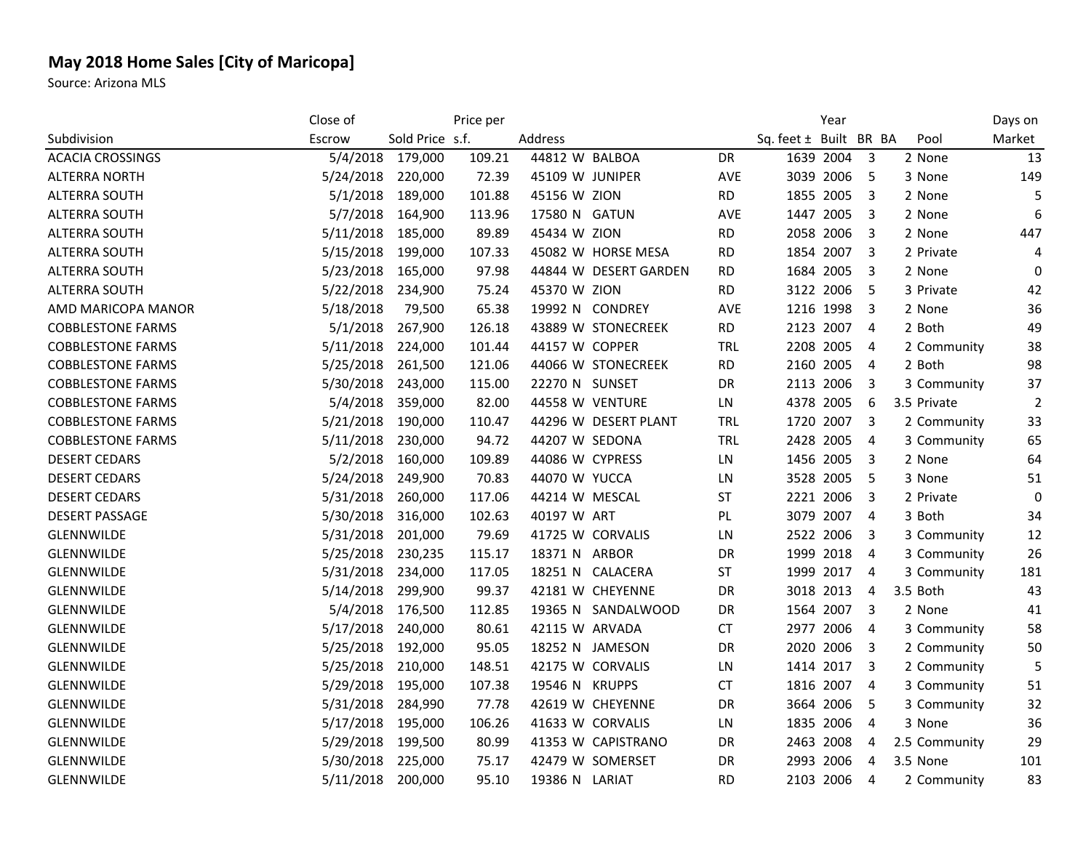## **May 2018 Home Sales [City of Maricopa]**

Source: Arizona MLS

|                          | Close of  |                 | Price per |                  |                       |            |                        | Year      |                         |               | Days on        |
|--------------------------|-----------|-----------------|-----------|------------------|-----------------------|------------|------------------------|-----------|-------------------------|---------------|----------------|
| Subdivision              | Escrow    | Sold Price s.f. |           | Address          |                       |            | Sq. feet ± Built BR BA |           |                         | Pool          | Market         |
| <b>ACACIA CROSSINGS</b>  | 5/4/2018  | 179,000         | 109.21    | 44812 W BALBOA   |                       | DR         |                        | 1639 2004 | $\overline{3}$          | 2 None        | 13             |
| <b>ALTERRA NORTH</b>     | 5/24/2018 | 220,000         | 72.39     | 45109 W JUNIPER  |                       | AVE        |                        | 3039 2006 | 5                       | 3 None        | 149            |
| ALTERRA SOUTH            | 5/1/2018  | 189,000         | 101.88    | 45156 W ZION     |                       | <b>RD</b>  |                        | 1855 2005 | $\overline{\mathbf{3}}$ | 2 None        | 5              |
| ALTERRA SOUTH            | 5/7/2018  | 164,900         | 113.96    | 17580 N          | <b>GATUN</b>          | AVE        |                        | 1447 2005 | $\overline{\mathbf{3}}$ | 2 None        | 6              |
| ALTERRA SOUTH            | 5/11/2018 | 185,000         | 89.89     | 45434 W ZION     |                       | <b>RD</b>  |                        | 2058 2006 | 3                       | 2 None        | 447            |
| <b>ALTERRA SOUTH</b>     | 5/15/2018 | 199,000         | 107.33    |                  | 45082 W HORSE MESA    | <b>RD</b>  |                        | 1854 2007 | $\overline{\mathbf{3}}$ | 2 Private     | 4              |
| <b>ALTERRA SOUTH</b>     | 5/23/2018 | 165,000         | 97.98     |                  | 44844 W DESERT GARDEN | RD         |                        | 1684 2005 | 3                       | 2 None        | 0              |
| <b>ALTERRA SOUTH</b>     | 5/22/2018 | 234,900         | 75.24     | 45370 W ZION     |                       | <b>RD</b>  |                        | 3122 2006 | 5                       | 3 Private     | 42             |
| AMD MARICOPA MANOR       | 5/18/2018 | 79,500          | 65.38     | 19992 N CONDREY  |                       | <b>AVE</b> |                        | 1216 1998 | 3                       | 2 None        | 36             |
| <b>COBBLESTONE FARMS</b> | 5/1/2018  | 267,900         | 126.18    |                  | 43889 W STONECREEK    | <b>RD</b>  |                        | 2123 2007 | $\overline{4}$          | 2 Both        | 49             |
| <b>COBBLESTONE FARMS</b> | 5/11/2018 | 224,000         | 101.44    | 44157 W COPPER   |                       | TRL        |                        | 2208 2005 | $\overline{4}$          | 2 Community   | 38             |
| <b>COBBLESTONE FARMS</b> | 5/25/2018 | 261,500         | 121.06    |                  | 44066 W STONECREEK    | <b>RD</b>  |                        | 2160 2005 | $\overline{4}$          | 2 Both        | 98             |
| <b>COBBLESTONE FARMS</b> | 5/30/2018 | 243,000         | 115.00    | 22270 N SUNSET   |                       | DR         |                        | 2113 2006 | 3                       | 3 Community   | 37             |
| <b>COBBLESTONE FARMS</b> | 5/4/2018  | 359,000         | 82.00     | 44558 W VENTURE  |                       | LN         |                        | 4378 2005 | 6                       | 3.5 Private   | $\overline{2}$ |
| <b>COBBLESTONE FARMS</b> | 5/21/2018 | 190,000         | 110.47    |                  | 44296 W DESERT PLANT  | TRL        |                        | 1720 2007 | $\overline{\mathbf{3}}$ | 2 Community   | 33             |
| <b>COBBLESTONE FARMS</b> | 5/11/2018 | 230,000         | 94.72     | 44207 W SEDONA   |                       | TRL        |                        | 2428 2005 | $\overline{4}$          | 3 Community   | 65             |
| <b>DESERT CEDARS</b>     | 5/2/2018  | 160,000         | 109.89    | 44086 W CYPRESS  |                       | LN         |                        | 1456 2005 | 3                       | 2 None        | 64             |
| <b>DESERT CEDARS</b>     | 5/24/2018 | 249,900         | 70.83     | 44070 W YUCCA    |                       | LN         |                        | 3528 2005 | -5                      | 3 None        | 51             |
| <b>DESERT CEDARS</b>     | 5/31/2018 | 260,000         | 117.06    | 44214 W MESCAL   |                       | <b>ST</b>  |                        | 2221 2006 | 3                       | 2 Private     | $\mathbf 0$    |
| <b>DESERT PASSAGE</b>    | 5/30/2018 | 316,000         | 102.63    | 40197 W ART      |                       | PL         |                        | 3079 2007 | $\overline{4}$          | 3 Both        | 34             |
| GLENNWILDE               | 5/31/2018 | 201,000         | 79.69     | 41725 W CORVALIS |                       | LN         |                        | 2522 2006 | 3                       | 3 Community   | 12             |
| GLENNWILDE               | 5/25/2018 | 230,235         | 115.17    | 18371 N          | <b>ARBOR</b>          | DR         |                        | 1999 2018 | $\overline{4}$          | 3 Community   | 26             |
| GLENNWILDE               | 5/31/2018 | 234,000         | 117.05    |                  | 18251 N CALACERA      | <b>ST</b>  |                        | 1999 2017 | $\overline{4}$          | 3 Community   | 181            |
| GLENNWILDE               | 5/14/2018 | 299,900         | 99.37     |                  | 42181 W CHEYENNE      | DR         |                        | 3018 2013 | $\overline{4}$          | 3.5 Both      | 43             |
| GLENNWILDE               | 5/4/2018  | 176,500         | 112.85    |                  | 19365 N SANDALWOOD    | DR         |                        | 1564 2007 | - 3                     | 2 None        | 41             |
| GLENNWILDE               | 5/17/2018 | 240,000         | 80.61     | 42115 W ARVADA   |                       | <b>CT</b>  |                        | 2977 2006 | $\overline{4}$          | 3 Community   | 58             |
| <b>GLENNWILDE</b>        | 5/25/2018 | 192,000         | 95.05     | 18252 N JAMESON  |                       | DR         |                        | 2020 2006 | 3                       | 2 Community   | 50             |
| <b>GLENNWILDE</b>        | 5/25/2018 | 210,000         | 148.51    | 42175 W CORVALIS |                       | LN         |                        | 1414 2017 | - 3                     | 2 Community   | 5              |
| <b>GLENNWILDE</b>        | 5/29/2018 | 195,000         | 107.38    | 19546 N KRUPPS   |                       | <b>CT</b>  |                        | 1816 2007 | $\overline{4}$          | 3 Community   | 51             |
| <b>GLENNWILDE</b>        | 5/31/2018 | 284,990         | 77.78     |                  | 42619 W CHEYENNE      | DR         |                        | 3664 2006 | 5                       | 3 Community   | 32             |
| <b>GLENNWILDE</b>        | 5/17/2018 | 195,000         | 106.26    | 41633 W CORVALIS |                       | LN         |                        | 1835 2006 | $\overline{4}$          | 3 None        | 36             |
| <b>GLENNWILDE</b>        | 5/29/2018 | 199,500         | 80.99     |                  | 41353 W CAPISTRANO    | DR         |                        | 2463 2008 | 4                       | 2.5 Community | 29             |
| GLENNWILDE               | 5/30/2018 | 225,000         | 75.17     |                  | 42479 W SOMERSET      | DR         |                        | 2993 2006 | 4                       | 3.5 None      | 101            |
| <b>GLENNWILDE</b>        | 5/11/2018 | 200,000         | 95.10     | 19386 N LARIAT   |                       | <b>RD</b>  |                        | 2103 2006 | 4                       | 2 Community   | 83             |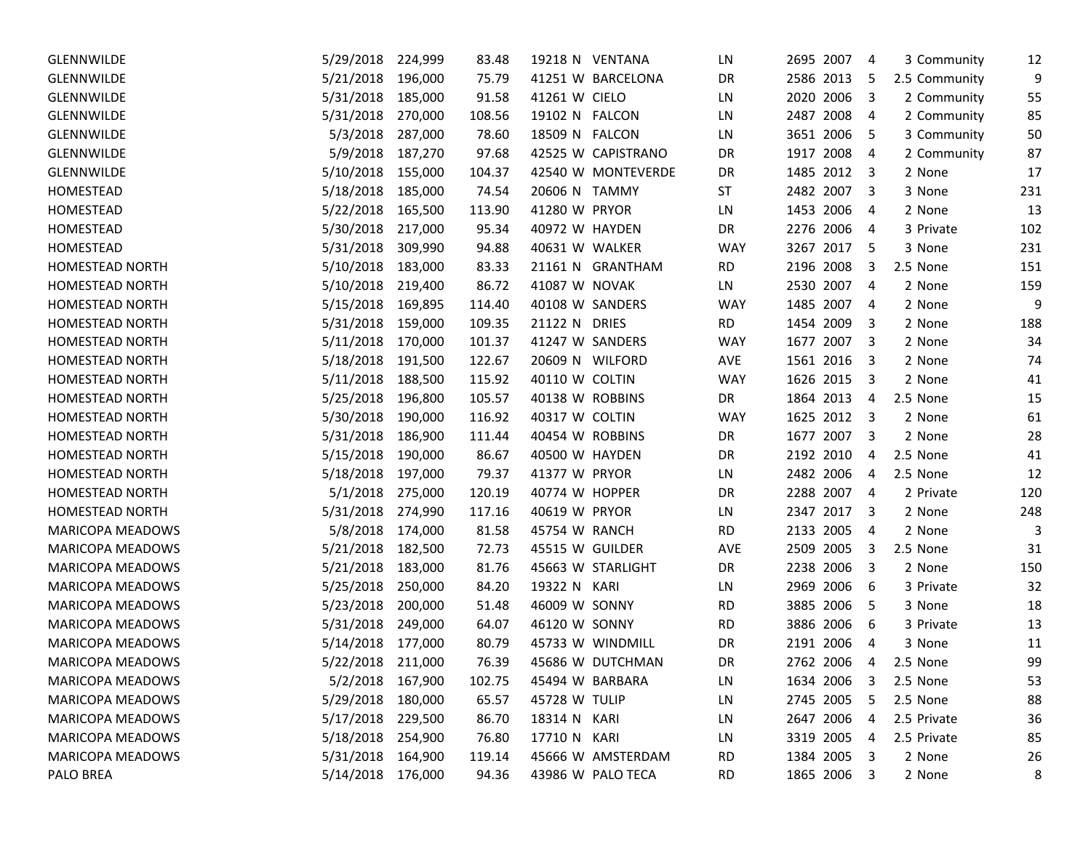| <b>GLENNWILDE</b>       | 5/29/2018         | 224,999 | 83.48  | 19218 N VENTANA    | LN         | 2695 2007<br>-4                         | 3 Community   | 12  |
|-------------------------|-------------------|---------|--------|--------------------|------------|-----------------------------------------|---------------|-----|
| <b>GLENNWILDE</b>       | 5/21/2018         | 196,000 | 75.79  | 41251 W BARCELONA  | DR         | 2586 2013<br>-5                         | 2.5 Community | 9   |
| GLENNWILDE              | 5/31/2018         | 185,000 | 91.58  | 41261 W CIELO      | LN         | 2020<br>2006<br>$\overline{3}$          | 2 Community   | 55  |
| GLENNWILDE              | 5/31/2018         | 270,000 | 108.56 | 19102 N FALCON     | LN         | 2487 2008<br>4                          | 2 Community   | 85  |
| GLENNWILDE              | 5/3/2018          | 287,000 | 78.60  | 18509 N FALCON     | LN         | 3651 2006<br>5                          | 3 Community   | 50  |
| <b>GLENNWILDE</b>       | 5/9/2018          | 187,270 | 97.68  | 42525 W CAPISTRANO | DR         | 1917<br>2008<br>$\overline{4}$          | 2 Community   | 87  |
| <b>GLENNWILDE</b>       | 5/10/2018         | 155,000 | 104.37 | 42540 W MONTEVERDE | DR         | 1485 2012<br>$\overline{\mathbf{3}}$    | 2 None        | 17  |
| HOMESTEAD               | 5/18/2018         | 185,000 | 74.54  | 20606 N TAMMY      | <b>ST</b>  | 2482 2007<br>$\overline{\mathbf{3}}$    | 3 None        | 231 |
| HOMESTEAD               | 5/22/2018         | 165,500 | 113.90 | 41280 W PRYOR      | LN         | 1453 2006<br>-4                         | 2 None        | 13  |
| HOMESTEAD               | 5/30/2018         | 217,000 | 95.34  | 40972 W HAYDEN     | DR         | 2276 2006<br>-4                         | 3 Private     | 102 |
| HOMESTEAD               | 5/31/2018         | 309,990 | 94.88  | 40631 W WALKER     | <b>WAY</b> | 3267 2017<br>- 5                        | 3 None        | 231 |
| HOMESTEAD NORTH         | 5/10/2018         | 183,000 | 83.33  | 21161 N GRANTHAM   | RD         | 2196 2008<br>3                          | 2.5 None      | 151 |
| HOMESTEAD NORTH         | 5/10/2018         | 219,400 | 86.72  | 41087 W NOVAK      | LN         | 2530 2007<br>$\overline{4}$             | 2 None        | 159 |
| <b>HOMESTEAD NORTH</b>  | 5/15/2018         | 169,895 | 114.40 | 40108 W SANDERS    | <b>WAY</b> | 1485 2007<br>$\overline{4}$             | 2 None        | 9   |
| HOMESTEAD NORTH         | 5/31/2018         | 159,000 | 109.35 | 21122 N DRIES      | <b>RD</b>  | 1454 2009<br>3                          | 2 None        | 188 |
| HOMESTEAD NORTH         | 5/11/2018         | 170,000 | 101.37 | 41247 W SANDERS    | <b>WAY</b> | 1677 2007<br>$\overline{\mathbf{3}}$    | 2 None        | 34  |
| <b>HOMESTEAD NORTH</b>  | 5/18/2018         | 191,500 | 122.67 | 20609 N WILFORD    | AVE        | 1561 2016<br>$\overline{\mathbf{3}}$    | 2 None        | 74  |
| <b>HOMESTEAD NORTH</b>  | 5/11/2018         | 188,500 | 115.92 | 40110 W COLTIN     | <b>WAY</b> | 1626 2015<br>$\overline{\mathbf{3}}$    | 2 None        | 41  |
| <b>HOMESTEAD NORTH</b>  | 5/25/2018         | 196,800 | 105.57 | 40138 W ROBBINS    | DR         | 1864 2013<br>4                          | 2.5 None      | 15  |
| HOMESTEAD NORTH         | 5/30/2018         | 190,000 | 116.92 | 40317 W COLTIN     | <b>WAY</b> | 1625 2012<br>$\overline{\mathbf{3}}$    | 2 None        | 61  |
| HOMESTEAD NORTH         | 5/31/2018         | 186,900 | 111.44 | 40454 W ROBBINS    | DR         | 1677<br>2007<br>$\overline{\mathbf{3}}$ | 2 None        | 28  |
| HOMESTEAD NORTH         | 5/15/2018         | 190,000 | 86.67  | 40500 W HAYDEN     | DR         | 2192 2010<br>4                          | 2.5 None      | 41  |
| HOMESTEAD NORTH         | 5/18/2018         | 197,000 | 79.37  | 41377 W PRYOR      | LN.        | 2482 2006<br>4                          | 2.5 None      | 12  |
| HOMESTEAD NORTH         | 5/1/2018          | 275,000 | 120.19 | 40774 W HOPPER     | DR         | 2288 2007<br>$\overline{4}$             | 2 Private     | 120 |
| HOMESTEAD NORTH         | 5/31/2018         | 274,990 | 117.16 | 40619 W PRYOR      | LN         | 2347 2017<br>- 3                        | 2 None        | 248 |
| <b>MARICOPA MEADOWS</b> | 5/8/2018          | 174,000 | 81.58  | 45754 W RANCH      | <b>RD</b>  | 2133 2005<br>$\overline{4}$             | 2 None        | 3   |
| MARICOPA MEADOWS        | 5/21/2018         | 182,500 | 72.73  | 45515 W GUILDER    | <b>AVE</b> | 2509 2005<br>3                          | 2.5 None      | 31  |
| MARICOPA MEADOWS        | 5/21/2018         | 183,000 | 81.76  | 45663 W STARLIGHT  | DR         | 2238 2006<br>$\overline{\mathbf{3}}$    | 2 None        | 150 |
| MARICOPA MEADOWS        | 5/25/2018         | 250,000 | 84.20  | 19322 N KARI       | LN.        | 2969 2006<br>-6                         | 3 Private     | 32  |
| MARICOPA MEADOWS        | 5/23/2018         | 200,000 | 51.48  | 46009 W SONNY      | <b>RD</b>  | 3885 2006<br>-5                         | 3 None        | 18  |
| MARICOPA MEADOWS        | 5/31/2018         | 249,000 | 64.07  | 46120 W SONNY      | <b>RD</b>  | 3886 2006<br>-6                         | 3 Private     | 13  |
| <b>MARICOPA MEADOWS</b> | 5/14/2018         | 177,000 | 80.79  | 45733 W WINDMILL   | DR         | 2191 2006<br>$\overline{4}$             | 3 None        | 11  |
| <b>MARICOPA MEADOWS</b> | 5/22/2018         | 211,000 | 76.39  | 45686 W DUTCHMAN   | <b>DR</b>  | 2762 2006<br>4                          | 2.5 None      | 99  |
| <b>MARICOPA MEADOWS</b> | 5/2/2018 167,900  |         | 102.75 | 45494 W BARBARA    | LN         | 1634 2006<br>3                          | 2.5 None      | 53  |
| <b>MARICOPA MEADOWS</b> | 5/29/2018 180,000 |         | 65.57  | 45728 W TULIP      | LN         | 2745 2005<br>-5                         | 2.5 None      | 88  |
| MARICOPA MEADOWS        | 5/17/2018 229,500 |         | 86.70  | 18314 N KARI       | LN         | 2647 2006<br>4                          | 2.5 Private   | 36  |
| MARICOPA MEADOWS        | 5/18/2018 254,900 |         | 76.80  | 17710 N KARI       | LN         | 3319 2005<br>4                          | 2.5 Private   | 85  |
| MARICOPA MEADOWS        | 5/31/2018         | 164,900 | 119.14 | 45666 W AMSTERDAM  | <b>RD</b>  | 1384 2005 3                             | 2 None        | 26  |
| PALO BREA               | 5/14/2018 176,000 |         | 94.36  | 43986 W PALO TECA  | RD.        | 1865 2006<br>$\overline{\mathbf{3}}$    | 2 None        | 8   |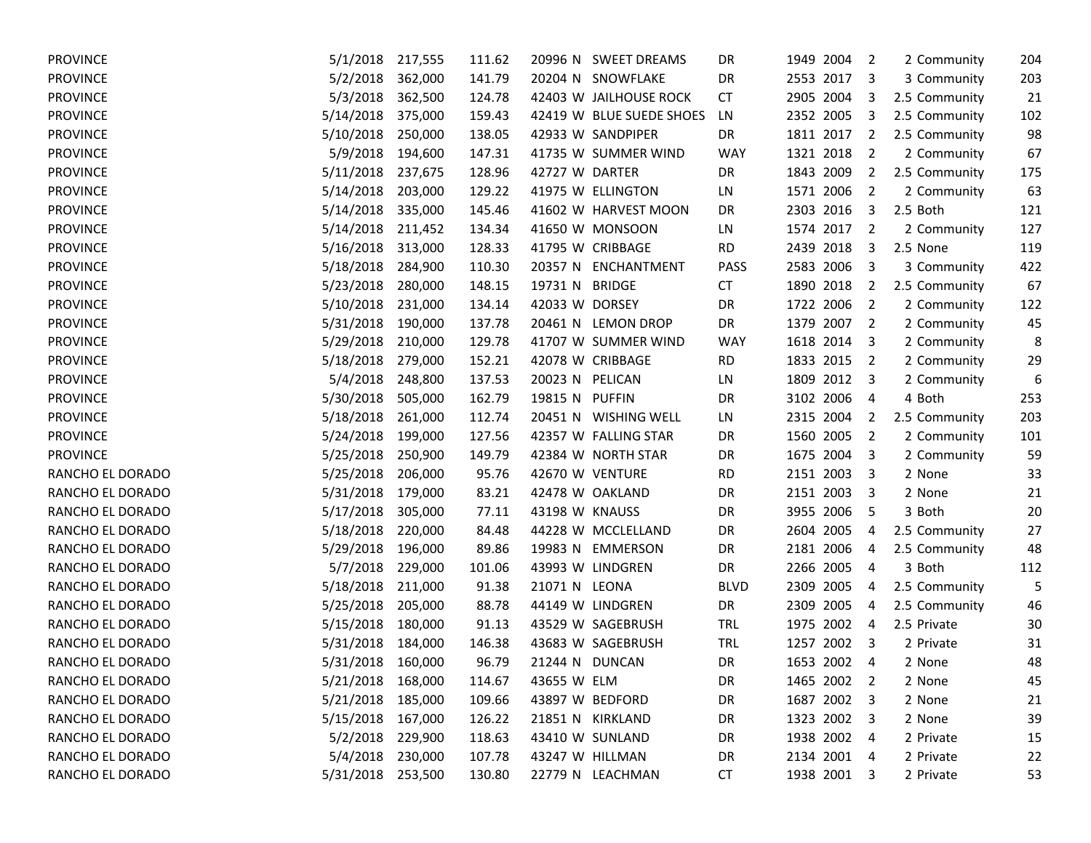| <b>PROVINCE</b>  | 5/1/2018          | 217,555 | 111.62 |                 | 20996 N SWEET DREAMS     | DR          | 1949 2004   | $\overline{2}$          | 2 Community   | 204 |
|------------------|-------------------|---------|--------|-----------------|--------------------------|-------------|-------------|-------------------------|---------------|-----|
| <b>PROVINCE</b>  | 5/2/2018          | 362,000 | 141.79 |                 | 20204 N SNOWFLAKE        | DR          | 2553 2017   | 3                       | 3 Community   | 203 |
| <b>PROVINCE</b>  | 5/3/2018          | 362,500 | 124.78 |                 | 42403 W JAILHOUSE ROCK   | <b>CT</b>   | 2905 2004   | 3                       | 2.5 Community | 21  |
| <b>PROVINCE</b>  | 5/14/2018         | 375,000 | 159.43 |                 | 42419 W BLUE SUEDE SHOES | LN          | 2352 2005   | 3                       | 2.5 Community | 102 |
| <b>PROVINCE</b>  | 5/10/2018         | 250,000 | 138.05 |                 | 42933 W SANDPIPER        | DR          | 1811 2017   | 2                       | 2.5 Community | 98  |
| <b>PROVINCE</b>  | 5/9/2018          | 194,600 | 147.31 |                 | 41735 W SUMMER WIND      | <b>WAY</b>  | 1321 2018   | $\overline{2}$          | 2 Community   | 67  |
| <b>PROVINCE</b>  | 5/11/2018         | 237,675 | 128.96 | 42727 W DARTER  |                          | DR          | 1843 2009   | 2                       | 2.5 Community | 175 |
| <b>PROVINCE</b>  | 5/14/2018         | 203,000 | 129.22 |                 | 41975 W ELLINGTON        | LN          | 1571 2006   | $\overline{2}$          | 2 Community   | 63  |
| <b>PROVINCE</b>  | 5/14/2018         | 335,000 | 145.46 |                 | 41602 W HARVEST MOON     | DR          | 2303 2016   | 3                       | 2.5 Both      | 121 |
| <b>PROVINCE</b>  | 5/14/2018         | 211,452 | 134.34 |                 | 41650 W MONSOON          | LN          | 1574 2017   | $\overline{\mathbf{2}}$ | 2 Community   | 127 |
| <b>PROVINCE</b>  | 5/16/2018         | 313,000 | 128.33 |                 | 41795 W CRIBBAGE         | <b>RD</b>   | 2439 2018   | 3                       | 2.5 None      | 119 |
| <b>PROVINCE</b>  | 5/18/2018         | 284,900 | 110.30 |                 | 20357 N ENCHANTMENT      | PASS        | 2583 2006   | 3                       | 3 Community   | 422 |
| <b>PROVINCE</b>  | 5/23/2018         | 280,000 | 148.15 | 19731 N BRIDGE  |                          | <b>CT</b>   | 1890 2018   | 2                       | 2.5 Community | 67  |
| <b>PROVINCE</b>  | 5/10/2018         | 231,000 | 134.14 | 42033 W DORSEY  |                          | <b>DR</b>   | 1722 2006   | $\overline{2}$          | 2 Community   | 122 |
| <b>PROVINCE</b>  | 5/31/2018         | 190,000 | 137.78 |                 | 20461 N LEMON DROP       | DR          | 1379 2007   | $\overline{2}$          | 2 Community   | 45  |
| <b>PROVINCE</b>  | 5/29/2018         | 210,000 | 129.78 |                 | 41707 W SUMMER WIND      | WAY         | 1618 2014   | 3                       | 2 Community   | 8   |
| <b>PROVINCE</b>  | 5/18/2018         | 279,000 | 152.21 |                 | 42078 W CRIBBAGE         | <b>RD</b>   | 1833 2015   | $\overline{2}$          | 2 Community   | 29  |
| <b>PROVINCE</b>  | 5/4/2018          | 248,800 | 137.53 | 20023 N PELICAN |                          | LN          | 1809 2012   | $\overline{\mathbf{3}}$ | 2 Community   | 6   |
| <b>PROVINCE</b>  | 5/30/2018         | 505,000 | 162.79 | 19815 N PUFFIN  |                          | DR          | 3102 2006   | 4                       | 4 Both        | 253 |
| <b>PROVINCE</b>  | 5/18/2018         | 261,000 | 112.74 |                 | 20451 N WISHING WELL     | LN          | 2315 2004   | 2                       | 2.5 Community | 203 |
| <b>PROVINCE</b>  | 5/24/2018         | 199,000 | 127.56 |                 | 42357 W FALLING STAR     | DR          | 1560 2005   | $\overline{2}$          | 2 Community   | 101 |
| <b>PROVINCE</b>  | 5/25/2018         | 250,900 | 149.79 |                 | 42384 W NORTH STAR       | DR          | 1675 2004   | 3                       | 2 Community   | 59  |
| RANCHO EL DORADO | 5/25/2018         | 206,000 | 95.76  |                 | 42670 W VENTURE          | <b>RD</b>   | 2151 2003   | 3                       | 2 None        | 33  |
| RANCHO EL DORADO | 5/31/2018         | 179,000 | 83.21  |                 | 42478 W OAKLAND          | <b>DR</b>   | 2151 2003   | 3                       | 2 None        | 21  |
| RANCHO EL DORADO | 5/17/2018         | 305,000 | 77.11  | 43198 W KNAUSS  |                          | DR          | 3955 2006   | 5                       | 3 Both        | 20  |
| RANCHO EL DORADO | 5/18/2018         | 220,000 | 84.48  |                 | 44228 W MCCLELLAND       | DR          | 2604 2005   | 4                       | 2.5 Community | 27  |
| RANCHO EL DORADO | 5/29/2018         | 196,000 | 89.86  |                 | 19983 N EMMERSON         | DR          | 2181 2006   | 4                       | 2.5 Community | 48  |
| RANCHO EL DORADO | 5/7/2018          | 229,000 | 101.06 |                 | 43993 W LINDGREN         | DR          | 2266 2005   | 4                       | 3 Both        | 112 |
| RANCHO EL DORADO | 5/18/2018         | 211,000 | 91.38  | 21071 N LEONA   |                          | <b>BLVD</b> | 2309 2005   | 4                       | 2.5 Community | 5   |
| RANCHO EL DORADO | 5/25/2018         | 205,000 | 88.78  |                 | 44149 W LINDGREN         | DR          | 2309 2005   | 4                       | 2.5 Community | 46  |
| RANCHO EL DORADO | 5/15/2018         | 180,000 | 91.13  |                 | 43529 W SAGEBRUSH        | <b>TRL</b>  | 1975 2002   | 4                       | 2.5 Private   | 30  |
| RANCHO EL DORADO | 5/31/2018         | 184,000 | 146.38 |                 | 43683 W SAGEBRUSH        | <b>TRL</b>  | 1257 2002   | $\overline{\mathbf{3}}$ | 2 Private     | 31  |
| RANCHO EL DORADO | 5/31/2018         | 160,000 | 96.79  |                 | 21244 N DUNCAN           | <b>DR</b>   | 1653 2002   | 4                       | 2 None        | 48  |
| RANCHO EL DORADO | 5/21/2018 168,000 |         | 114.67 | 43655 W ELM     |                          | DR          | 1465 2002 2 |                         | 2 None        | 45  |
| RANCHO EL DORADO | 5/21/2018 185,000 |         | 109.66 |                 | 43897 W BEDFORD          | DR          | 1687 2002 3 |                         | 2 None        | 21  |
| RANCHO EL DORADO | 5/15/2018 167,000 |         | 126.22 |                 | 21851 N KIRKLAND         | DR          | 1323 2002 3 |                         | 2 None        | 39  |
| RANCHO EL DORADO | 5/2/2018 229,900  |         | 118.63 |                 | 43410 W SUNLAND          | DR          | 1938 2002 4 |                         | 2 Private     | 15  |
| RANCHO EL DORADO | 5/4/2018          | 230,000 | 107.78 |                 | 43247 W HILLMAN          | DR          | 2134 2001 4 |                         | 2 Private     | 22  |
| RANCHO EL DORADO | 5/31/2018 253,500 |         | 130.80 |                 | 22779 N LEACHMAN         | <b>CT</b>   | 1938 2001 3 |                         | 2 Private     | 53  |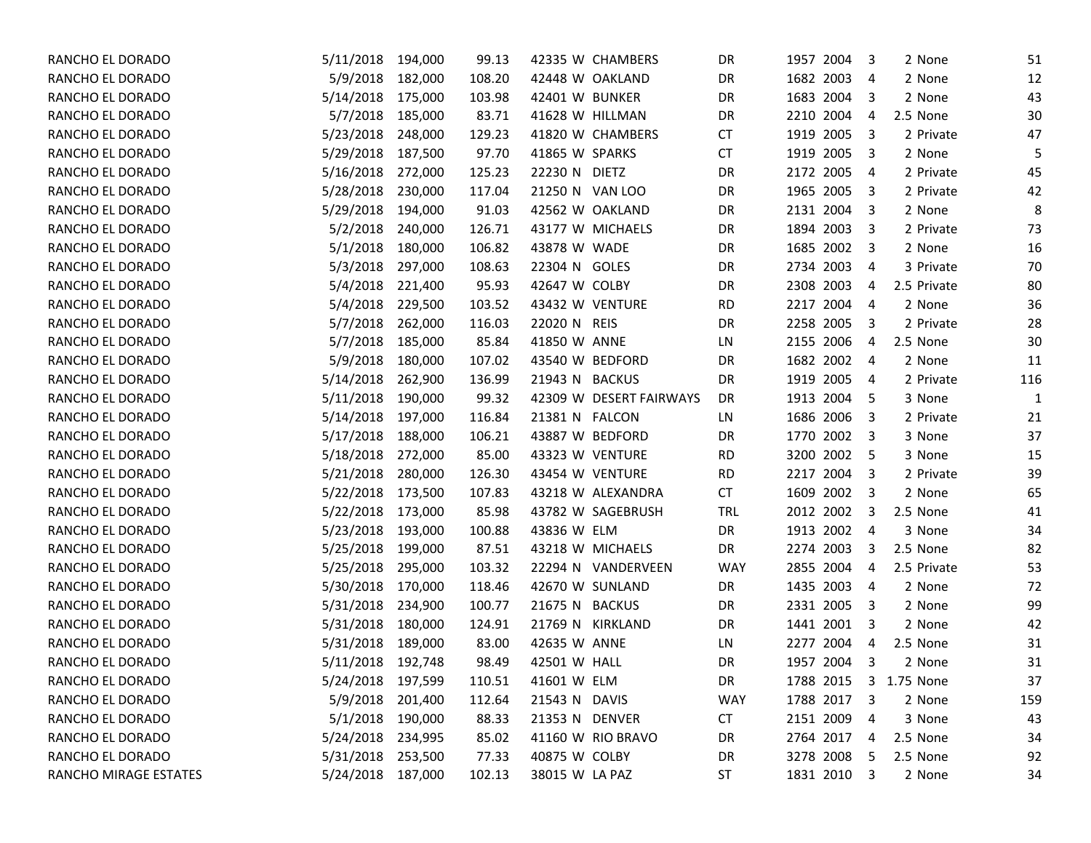| RANCHO EL DORADO      | 5/11/2018         | 194,000 | 99.13  | 42335 W CHAMBERS        | DR         | 1957 2004    | 3<br>2 None                          | 51  |
|-----------------------|-------------------|---------|--------|-------------------------|------------|--------------|--------------------------------------|-----|
| RANCHO EL DORADO      | 5/9/2018          | 182,000 | 108.20 | 42448 W OAKLAND         | DR         | 1682 2003    | 2 None<br>-4                         | 12  |
| RANCHO EL DORADO      | 5/14/2018         | 175,000 | 103.98 | 42401 W BUNKER          | DR         | 1683 2004    | 2 None<br>3                          | 43  |
| RANCHO EL DORADO      | 5/7/2018          | 185,000 | 83.71  | 41628 W HILLMAN         | DR         | 2210 2004    | 2.5 None<br>4                        | 30  |
| RANCHO EL DORADO      | 5/23/2018         | 248,000 | 129.23 | 41820 W CHAMBERS        | CT         | 1919 2005    | 3<br>2 Private                       | 47  |
| RANCHO EL DORADO      | 5/29/2018         | 187,500 | 97.70  | 41865 W SPARKS          | CT         | 1919 2005    | 2 None<br>-3                         | 5   |
| RANCHO EL DORADO      | 5/16/2018         | 272,000 | 125.23 | 22230 N DIETZ           | DR         | 2172 2005    | 2 Private<br>-4                      | 45  |
| RANCHO EL DORADO      | 5/28/2018         | 230,000 | 117.04 | 21250 N VAN LOO         | DR         | 1965 2005    | $\overline{\mathbf{3}}$<br>2 Private | 42  |
| RANCHO EL DORADO      | 5/29/2018         | 194,000 | 91.03  | 42562 W OAKLAND         | DR         | 2131 2004    | -3<br>2 None                         | 8   |
| RANCHO EL DORADO      | 5/2/2018          | 240,000 | 126.71 | 43177 W MICHAELS        | DR         | 1894 2003    | $\overline{\mathbf{3}}$<br>2 Private | 73  |
| RANCHO EL DORADO      | 5/1/2018          | 180,000 | 106.82 | 43878 W WADE            | DR         | 1685 2002    | 2 None<br>$\overline{\mathbf{3}}$    | 16  |
| RANCHO EL DORADO      | 5/3/2018          | 297,000 | 108.63 | 22304 N GOLES           | DR         | 2734 2003    | 3 Private<br>4                       | 70  |
| RANCHO EL DORADO      | 5/4/2018          | 221,400 | 95.93  | 42647 W COLBY           | DR         | 2308 2003    | 2.5 Private<br>4                     | 80  |
| RANCHO EL DORADO      | 5/4/2018          | 229,500 | 103.52 | 43432 W VENTURE         | <b>RD</b>  | 2217<br>2004 | 2 None<br>$\overline{4}$             | 36  |
| RANCHO EL DORADO      | 5/7/2018          | 262,000 | 116.03 | 22020 N REIS            | DR         | 2258 2005    | 3<br>2 Private                       | 28  |
| RANCHO EL DORADO      | 5/7/2018          | 185,000 | 85.84  | 41850 W ANNE            | LN         | 2155 2006    | 2.5 None<br>4                        | 30  |
| RANCHO EL DORADO      | 5/9/2018          | 180,000 | 107.02 | 43540 W BEDFORD         | DR         | 1682 2002    | 2 None<br>-4                         | 11  |
| RANCHO EL DORADO      | 5/14/2018         | 262,900 | 136.99 | 21943 N BACKUS          | DR         | 1919 2005    | 2 Private<br>-4                      | 116 |
| RANCHO EL DORADO      | 5/11/2018         | 190,000 | 99.32  | 42309 W DESERT FAIRWAYS | DR         | 1913 2004    | 3 None<br>-5                         | 1   |
| RANCHO EL DORADO      | 5/14/2018         | 197,000 | 116.84 | 21381 N FALCON          | LN         | 1686 2006    | 2 Private<br>3                       | 21  |
| RANCHO EL DORADO      | 5/17/2018         | 188,000 | 106.21 | 43887 W BEDFORD         | DR         | 1770 2002    | 3 None<br>$\overline{\mathbf{3}}$    | 37  |
| RANCHO EL DORADO      | 5/18/2018         | 272,000 | 85.00  | 43323 W VENTURE         | <b>RD</b>  | 3200 2002 5  | 3 None                               | 15  |
| RANCHO EL DORADO      | 5/21/2018         | 280,000 | 126.30 | 43454 W VENTURE         | <b>RD</b>  | 2217 2004    | $\overline{\mathbf{3}}$<br>2 Private | 39  |
| RANCHO EL DORADO      | 5/22/2018         | 173,500 | 107.83 | 43218 W ALEXANDRA       | <b>CT</b>  | 1609 2002    | 2 None<br>$\overline{\mathbf{3}}$    | 65  |
| RANCHO EL DORADO      | 5/22/2018         | 173,000 | 85.98  | 43782 W SAGEBRUSH       | <b>TRL</b> | 2012 2002    | 2.5 None<br>-3                       | 41  |
| RANCHO EL DORADO      | 5/23/2018         | 193,000 | 100.88 | 43836 W ELM             | DR         | 1913 2002    | 3 None<br>4                          | 34  |
| RANCHO EL DORADO      | 5/25/2018         | 199,000 | 87.51  | 43218 W MICHAELS        | DR         | 2274 2003    | 2.5 None<br>3                        | 82  |
| RANCHO EL DORADO      | 5/25/2018         | 295,000 | 103.32 | 22294 N VANDERVEEN      | <b>WAY</b> | 2855 2004    | 2.5 Private<br>4                     | 53  |
| RANCHO EL DORADO      | 5/30/2018         | 170,000 | 118.46 | 42670 W SUNLAND         | DR         | 1435 2003    | 2 None<br>$\overline{4}$             | 72  |
| RANCHO EL DORADO      | 5/31/2018         | 234,900 | 100.77 | 21675 N BACKUS          | DR         | 2331 2005    | -3<br>2 None                         | 99  |
| RANCHO EL DORADO      | 5/31/2018         | 180,000 | 124.91 | 21769 N KIRKLAND        | DR         | 1441 2001    | 2 None<br>-3                         | 42  |
| RANCHO EL DORADO      | 5/31/2018         | 189,000 | 83.00  | 42635 W ANNE            | LN         | 2277<br>2004 | 2.5 None<br>4                        | 31  |
| RANCHO EL DORADO      | 5/11/2018         | 192,748 | 98.49  | 42501 W HALL            | DR         | 1957 2004    | 3<br>2 None                          | 31  |
| RANCHO EL DORADO      | 5/24/2018 197,599 |         | 110.51 | 41601 W ELM             | DR         | 1788 2015    | 3 1.75 None                          | 37  |
| RANCHO EL DORADO      | 5/9/2018 201,400  |         | 112.64 | 21543 N DAVIS           | <b>WAY</b> | 1788 2017    | 2 None<br>-3                         | 159 |
| RANCHO EL DORADO      | 5/1/2018 190,000  |         | 88.33  | 21353 N DENVER          | CT         | 2151 2009    | 3 None<br>$\overline{4}$             | 43  |
| RANCHO EL DORADO      | 5/24/2018 234,995 |         | 85.02  | 41160 W RIO BRAVO       | DR         | 2764 2017    | 2.5 None<br>4                        | 34  |
| RANCHO EL DORADO      | 5/31/2018 253,500 |         | 77.33  | 40875 W COLBY           | DR         | 3278 2008    | 2.5 None<br>-5                       | 92  |
| RANCHO MIRAGE ESTATES | 5/24/2018 187,000 |         | 102.13 | 38015 W LA PAZ          | ST         | 1831 2010 3  | 2 None                               | 34  |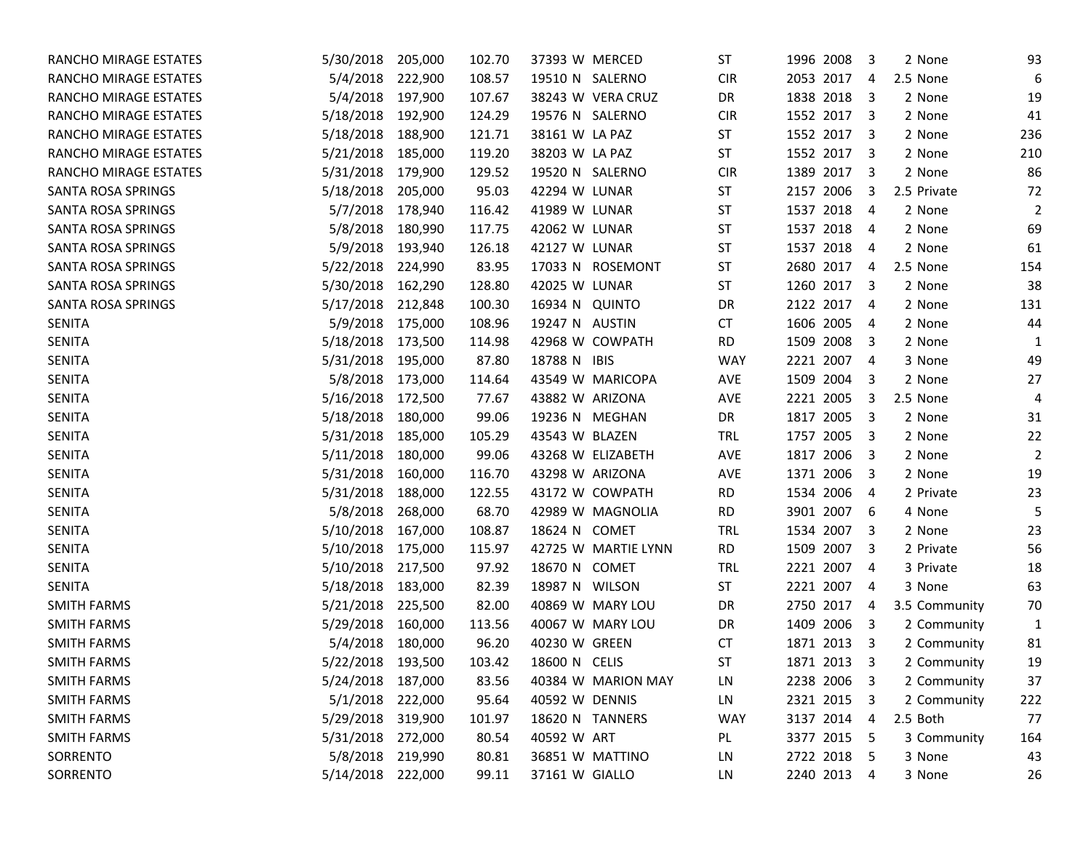| 5/30/2018 | 205,000   | 102.70                                                                                                                                                                                                                                                                                                | 37393 W MERCED      | ST            | 1996 2008 | 3         | 2 None                                                                                                                                                                                                                                                                                                                                                                                                                                                                           | 93                                           |
|-----------|-----------|-------------------------------------------------------------------------------------------------------------------------------------------------------------------------------------------------------------------------------------------------------------------------------------------------------|---------------------|---------------|-----------|-----------|----------------------------------------------------------------------------------------------------------------------------------------------------------------------------------------------------------------------------------------------------------------------------------------------------------------------------------------------------------------------------------------------------------------------------------------------------------------------------------|----------------------------------------------|
|           | 222,900   | 108.57                                                                                                                                                                                                                                                                                                | 19510 N SALERNO     | <b>CIR</b>    | 2053 2017 | 4         |                                                                                                                                                                                                                                                                                                                                                                                                                                                                                  | 6                                            |
|           | 197,900   | 107.67                                                                                                                                                                                                                                                                                                | 38243 W VERA CRUZ   | DR            | 1838 2018 |           | 2 None                                                                                                                                                                                                                                                                                                                                                                                                                                                                           | 19                                           |
| 5/18/2018 | 192,900   | 124.29                                                                                                                                                                                                                                                                                                | 19576 N SALERNO     | <b>CIR</b>    | 1552 2017 |           | 2 None                                                                                                                                                                                                                                                                                                                                                                                                                                                                           | 41                                           |
| 5/18/2018 | 188,900   | 121.71                                                                                                                                                                                                                                                                                                | 38161 W LA PAZ      | ST            | 1552 2017 |           | 2 None                                                                                                                                                                                                                                                                                                                                                                                                                                                                           | 236                                          |
| 5/21/2018 | 185,000   | 119.20                                                                                                                                                                                                                                                                                                | 38203 W LA PAZ      | <b>ST</b>     | 1552 2017 |           | 2 None                                                                                                                                                                                                                                                                                                                                                                                                                                                                           | 210                                          |
| 5/31/2018 | 179,900   | 129.52                                                                                                                                                                                                                                                                                                | 19520 N SALERNO     | <b>CIR</b>    | 1389 2017 |           | 2 None                                                                                                                                                                                                                                                                                                                                                                                                                                                                           | 86                                           |
| 5/18/2018 | 205,000   | 95.03                                                                                                                                                                                                                                                                                                 | 42294 W LUNAR       | ST            | 2157 2006 | 3         | 2.5 Private                                                                                                                                                                                                                                                                                                                                                                                                                                                                      | 72                                           |
|           | 178,940   | 116.42                                                                                                                                                                                                                                                                                                | 41989 W LUNAR       | ST            | 1537 2018 |           | 2 None                                                                                                                                                                                                                                                                                                                                                                                                                                                                           | 2                                            |
|           | 180,990   | 117.75                                                                                                                                                                                                                                                                                                | 42062 W LUNAR       | <b>ST</b>     | 1537 2018 |           | 2 None                                                                                                                                                                                                                                                                                                                                                                                                                                                                           | 69                                           |
|           | 193,940   | 126.18                                                                                                                                                                                                                                                                                                | 42127 W LUNAR       | ST            | 1537 2018 |           | 2 None                                                                                                                                                                                                                                                                                                                                                                                                                                                                           | 61                                           |
| 5/22/2018 | 224,990   | 83.95                                                                                                                                                                                                                                                                                                 | 17033 N ROSEMONT    | ST            | 2680 2017 |           |                                                                                                                                                                                                                                                                                                                                                                                                                                                                                  | 154                                          |
| 5/30/2018 | 162,290   | 128.80                                                                                                                                                                                                                                                                                                | 42025 W LUNAR       | <b>ST</b>     | 1260 2017 |           | 2 None                                                                                                                                                                                                                                                                                                                                                                                                                                                                           | 38                                           |
| 5/17/2018 | 212,848   | 100.30                                                                                                                                                                                                                                                                                                | 16934 N QUINTO      | DR            |           |           | 2 None                                                                                                                                                                                                                                                                                                                                                                                                                                                                           | 131                                          |
| 5/9/2018  | 175,000   | 108.96                                                                                                                                                                                                                                                                                                | 19247 N AUSTIN      | CT            | 1606 2005 |           | 2 None                                                                                                                                                                                                                                                                                                                                                                                                                                                                           | 44                                           |
|           | 173,500   | 114.98                                                                                                                                                                                                                                                                                                | 42968 W COWPATH     | <b>RD</b>     | 1509 2008 | 3         | 2 None                                                                                                                                                                                                                                                                                                                                                                                                                                                                           | 1                                            |
|           | 195,000   | 87.80                                                                                                                                                                                                                                                                                                 | 18788 N IBIS        | <b>WAY</b>    | 2221 2007 |           | 3 None                                                                                                                                                                                                                                                                                                                                                                                                                                                                           | 49                                           |
|           | 173,000   | 114.64                                                                                                                                                                                                                                                                                                | 43549 W MARICOPA    | AVE           | 1509 2004 |           | 2 None                                                                                                                                                                                                                                                                                                                                                                                                                                                                           | 27                                           |
| 5/16/2018 | 172,500   | 77.67                                                                                                                                                                                                                                                                                                 | 43882 W ARIZONA     | AVE           | 2221 2005 | 3         |                                                                                                                                                                                                                                                                                                                                                                                                                                                                                  | 4                                            |
| 5/18/2018 | 180,000   | 99.06                                                                                                                                                                                                                                                                                                 | 19236 N MEGHAN      | DR            | 1817 2005 |           | 2 None                                                                                                                                                                                                                                                                                                                                                                                                                                                                           | 31                                           |
|           | 185,000   | 105.29                                                                                                                                                                                                                                                                                                | 43543 W BLAZEN      | <b>TRL</b>    | 1757 2005 |           | 2 None                                                                                                                                                                                                                                                                                                                                                                                                                                                                           | 22                                           |
| 5/11/2018 | 180,000   | 99.06                                                                                                                                                                                                                                                                                                 | 43268 W ELIZABETH   | AVE           | 1817 2006 |           | 2 None                                                                                                                                                                                                                                                                                                                                                                                                                                                                           | $\overline{2}$                               |
| 5/31/2018 | 160,000   | 116.70                                                                                                                                                                                                                                                                                                | 43298 W ARIZONA     | AVE           | 1371 2006 |           | 2 None                                                                                                                                                                                                                                                                                                                                                                                                                                                                           | 19                                           |
| 5/31/2018 | 188,000   | 122.55                                                                                                                                                                                                                                                                                                | 43172 W COWPATH     | <b>RD</b>     | 1534 2006 |           | 2 Private                                                                                                                                                                                                                                                                                                                                                                                                                                                                        | 23                                           |
| 5/8/2018  | 268,000   | 68.70                                                                                                                                                                                                                                                                                                 | 42989 W MAGNOLIA    | <b>RD</b>     | 3901 2007 |           | 4 None                                                                                                                                                                                                                                                                                                                                                                                                                                                                           | 5                                            |
| 5/10/2018 | 167,000   | 108.87                                                                                                                                                                                                                                                                                                | 18624 N COMET       | <b>TRL</b>    | 1534 2007 |           | 2 None                                                                                                                                                                                                                                                                                                                                                                                                                                                                           | 23                                           |
|           | 175,000   | 115.97                                                                                                                                                                                                                                                                                                | 42725 W MARTIE LYNN | <b>RD</b>     | 1509 2007 |           | 2 Private                                                                                                                                                                                                                                                                                                                                                                                                                                                                        | 56                                           |
|           | 217,500   | 97.92                                                                                                                                                                                                                                                                                                 | 18670 N COMET       | <b>TRL</b>    | 2221 2007 |           | 3 Private                                                                                                                                                                                                                                                                                                                                                                                                                                                                        | 18                                           |
| 5/18/2018 | 183,000   | 82.39                                                                                                                                                                                                                                                                                                 | 18987 N WILSON      | <b>ST</b>     | 2221 2007 |           | 3 None                                                                                                                                                                                                                                                                                                                                                                                                                                                                           | 63                                           |
|           | 225,500   | 82.00                                                                                                                                                                                                                                                                                                 | 40869 W MARY LOU    | DR            | 2750 2017 | 4         | 3.5 Community                                                                                                                                                                                                                                                                                                                                                                                                                                                                    | 70                                           |
| 5/29/2018 | 160,000   | 113.56                                                                                                                                                                                                                                                                                                | 40067 W MARY LOU    | DR            | 1409 2006 |           | 2 Community                                                                                                                                                                                                                                                                                                                                                                                                                                                                      | $\mathbf{1}$                                 |
|           | 180,000   | 96.20                                                                                                                                                                                                                                                                                                 | 40230 W GREEN       | <b>CT</b>     | 1871 2013 |           | 2 Community                                                                                                                                                                                                                                                                                                                                                                                                                                                                      | 81                                           |
|           |           |                                                                                                                                                                                                                                                                                                       |                     | <b>ST</b>     |           | 3         | 2 Community                                                                                                                                                                                                                                                                                                                                                                                                                                                                      | 19                                           |
|           |           | 83.56                                                                                                                                                                                                                                                                                                 | 40384 W MARION MAY  | LN            | 2238 2006 |           | 2 Community                                                                                                                                                                                                                                                                                                                                                                                                                                                                      | 37                                           |
|           |           | 95.64                                                                                                                                                                                                                                                                                                 | 40592 W DENNIS      | LN            |           |           | 2 Community                                                                                                                                                                                                                                                                                                                                                                                                                                                                      | 222                                          |
|           |           | 101.97                                                                                                                                                                                                                                                                                                | 18620 N TANNERS     | <b>WAY</b>    |           |           |                                                                                                                                                                                                                                                                                                                                                                                                                                                                                  | 77                                           |
|           |           | 80.54                                                                                                                                                                                                                                                                                                 | 40592 W ART         | PL            |           |           | 3 Community                                                                                                                                                                                                                                                                                                                                                                                                                                                                      | 164                                          |
|           |           | 80.81                                                                                                                                                                                                                                                                                                 | 36851 W MATTINO     | LN            |           |           | 3 None                                                                                                                                                                                                                                                                                                                                                                                                                                                                           | 43                                           |
|           |           | 99.11                                                                                                                                                                                                                                                                                                 | 37161 W GIALLO      | LN            |           |           | 3 None                                                                                                                                                                                                                                                                                                                                                                                                                                                                           | 26                                           |
|           | 5/22/2018 | 5/4/2018<br>5/4/2018<br>5/7/2018<br>5/8/2018<br>5/9/2018<br>5/18/2018<br>5/31/2018<br>5/8/2018<br>5/31/2018<br>5/10/2018<br>5/10/2018<br>5/21/2018<br>5/4/2018<br>193,500<br>5/24/2018 187,000<br>5/1/2018 222,000<br>5/29/2018 319,900<br>5/31/2018 272,000<br>5/8/2018 219,990<br>5/14/2018 222,000 | 103.42              | 18600 N CELIS |           | 1871 2013 | $\overline{\mathbf{3}}$<br>$\overline{\mathbf{3}}$<br>$\overline{\mathbf{3}}$<br>$\overline{\mathbf{3}}$<br>$\overline{\mathbf{3}}$<br>-4<br>-4<br>-4<br>-4<br>$\overline{\mathbf{3}}$<br>2122 2017 4<br>$\overline{4}$<br>$\overline{4}$<br>3<br>-3<br>$\overline{\mathbf{3}}$<br>3<br>-3<br>4<br>- 6<br>3<br>-3<br>$\overline{4}$<br>-4<br>-3<br>$\overline{\mathbf{3}}$<br>$\overline{\mathbf{3}}$<br>2321 2015 3<br>3137 2014 4<br>3377 2015 5<br>2722 2018 5<br>2240 2013 4 | 2.5 None<br>2.5 None<br>2.5 None<br>2.5 Both |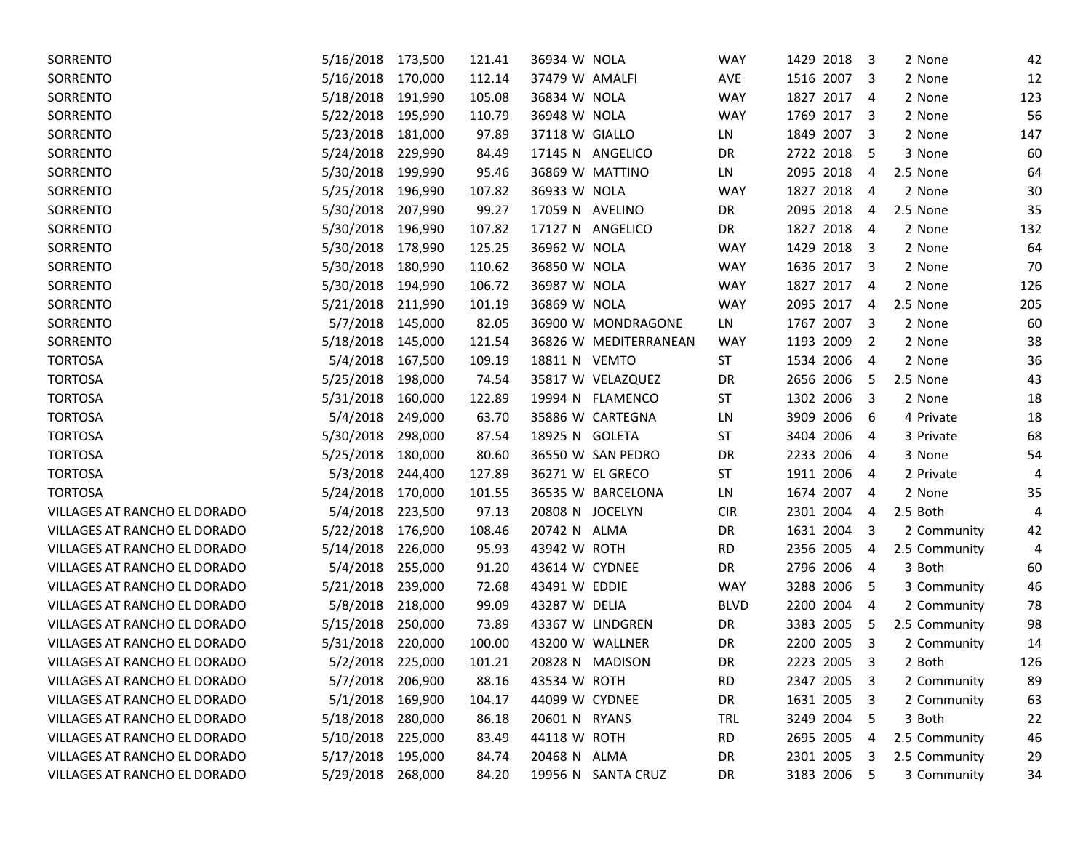| SORRENTO                     | 5/16/2018         | 173,500 | 121.41 | 36934 W NOLA    |                       | <b>WAY</b>  | 1429 2018    | -3                      | 2 None        | 42  |
|------------------------------|-------------------|---------|--------|-----------------|-----------------------|-------------|--------------|-------------------------|---------------|-----|
| SORRENTO                     | 5/16/2018         | 170,000 | 112.14 | 37479 W AMALFI  |                       | AVE         | 1516 2007    | $\overline{\mathbf{3}}$ | 2 None        | 12  |
| SORRENTO                     | 5/18/2018         | 191,990 | 105.08 | 36834 W NOLA    |                       | <b>WAY</b>  | 1827<br>2017 | $\overline{4}$          | 2 None        | 123 |
| SORRENTO                     | 5/22/2018         | 195,990 | 110.79 | 36948 W NOLA    |                       | <b>WAY</b>  | 1769 2017    | -3                      | 2 None        | 56  |
| SORRENTO                     | 5/23/2018         | 181,000 | 97.89  | 37118 W GIALLO  |                       | LN          | 1849 2007    | 3                       | 2 None        | 147 |
| SORRENTO                     | 5/24/2018         | 229,990 | 84.49  |                 | 17145 N ANGELICO      | DR          | 2722 2018    | - 5                     | 3 None        | 60  |
| SORRENTO                     | 5/30/2018         | 199,990 | 95.46  |                 | 36869 W MATTINO       | LN          | 2095 2018    | 4                       | 2.5 None      | 64  |
| SORRENTO                     | 5/25/2018         | 196,990 | 107.82 | 36933 W NOLA    |                       | <b>WAY</b>  | 1827 2018    | $\overline{4}$          | 2 None        | 30  |
| SORRENTO                     | 5/30/2018         | 207,990 | 99.27  | 17059 N AVELINO |                       | DR          | 2095 2018    | 4                       | 2.5 None      | 35  |
| SORRENTO                     | 5/30/2018         | 196,990 | 107.82 |                 | 17127 N ANGELICO      | DR          | 1827<br>2018 | $\overline{4}$          | 2 None        | 132 |
| SORRENTO                     | 5/30/2018         | 178,990 | 125.25 | 36962 W NOLA    |                       | WAY         | 1429 2018    | $\overline{\mathbf{3}}$ | 2 None        | 64  |
| SORRENTO                     | 5/30/2018         | 180,990 | 110.62 | 36850 W NOLA    |                       | <b>WAY</b>  | 1636 2017    | $\overline{\mathbf{3}}$ | 2 None        | 70  |
| SORRENTO                     | 5/30/2018         | 194,990 | 106.72 | 36987 W NOLA    |                       | <b>WAY</b>  | 1827 2017    | $\overline{4}$          | 2 None        | 126 |
| SORRENTO                     | 5/21/2018         | 211,990 | 101.19 | 36869 W NOLA    |                       | <b>WAY</b>  | 2095 2017    | $\overline{4}$          | 2.5 None      | 205 |
| SORRENTO                     | 5/7/2018          | 145,000 | 82.05  |                 | 36900 W MONDRAGONE    | LN          | 1767 2007    | $\overline{\mathbf{3}}$ | 2 None        | 60  |
| SORRENTO                     | 5/18/2018         | 145,000 | 121.54 |                 | 36826 W MEDITERRANEAN | <b>WAY</b>  | 1193 2009    | $\overline{2}$          | 2 None        | 38  |
| <b>TORTOSA</b>               | 5/4/2018          | 167,500 | 109.19 | 18811 N VEMTO   |                       | <b>ST</b>   | 1534 2006    | $\overline{a}$          | 2 None        | 36  |
| <b>TORTOSA</b>               | 5/25/2018         | 198,000 | 74.54  |                 | 35817 W VELAZQUEZ     | DR          | 2656 2006    | -5                      | 2.5 None      | 43  |
| <b>TORTOSA</b>               | 5/31/2018         | 160,000 | 122.89 |                 | 19994 N FLAMENCO      | <b>ST</b>   | 1302 2006    | -3                      | 2 None        | 18  |
| <b>TORTOSA</b>               | 5/4/2018          | 249,000 | 63.70  |                 | 35886 W CARTEGNA      | LN          | 3909 2006    | -6                      | 4 Private     | 18  |
| <b>TORTOSA</b>               | 5/30/2018         | 298,000 | 87.54  | 18925 N GOLETA  |                       | <b>ST</b>   | 3404 2006    | 4                       | 3 Private     | 68  |
| <b>TORTOSA</b>               | 5/25/2018         | 180,000 | 80.60  |                 | 36550 W SAN PEDRO     | DR          | 2233 2006    | 4                       | 3 None        | 54  |
| <b>TORTOSA</b>               | 5/3/2018          | 244,400 | 127.89 |                 | 36271 W EL GRECO      | <b>ST</b>   | 1911 2006    | 4                       | 2 Private     | 4   |
| <b>TORTOSA</b>               | 5/24/2018         | 170,000 | 101.55 |                 | 36535 W BARCELONA     | LN          | 1674 2007    | 4                       | 2 None        | 35  |
| VILLAGES AT RANCHO EL DORADO | 5/4/2018          | 223,500 | 97.13  | 20808 N JOCELYN |                       | <b>CIR</b>  | 2301 2004    | 4                       | 2.5 Both      | 4   |
| VILLAGES AT RANCHO EL DORADO | 5/22/2018         | 176,900 | 108.46 | 20742 N ALMA    |                       | DR          | 1631 2004    | 3                       | 2 Community   | 42  |
| VILLAGES AT RANCHO EL DORADO | 5/14/2018         | 226,000 | 95.93  | 43942 W ROTH    |                       | <b>RD</b>   | 2356 2005    | 4                       | 2.5 Community | 4   |
| VILLAGES AT RANCHO EL DORADO | 5/4/2018          | 255,000 | 91.20  | 43614 W CYDNEE  |                       | DR          | 2796 2006    | $\overline{4}$          | 3 Both        | 60  |
| VILLAGES AT RANCHO EL DORADO | 5/21/2018         | 239,000 | 72.68  | 43491 W EDDIE   |                       | <b>WAY</b>  | 3288 2006    | 5                       | 3 Community   | 46  |
| VILLAGES AT RANCHO EL DORADO | 5/8/2018          | 218,000 | 99.09  | 43287 W DELIA   |                       | <b>BLVD</b> | 2200 2004    | $\overline{4}$          | 2 Community   | 78  |
| VILLAGES AT RANCHO EL DORADO | 5/15/2018         | 250,000 | 73.89  |                 | 43367 W LINDGREN      | DR          | 3383 2005    | -5                      | 2.5 Community | 98  |
| VILLAGES AT RANCHO EL DORADO | 5/31/2018         | 220,000 | 100.00 | 43200 W WALLNER |                       | DR          | 2200 2005    | $\overline{\mathbf{3}}$ | 2 Community   | 14  |
| VILLAGES AT RANCHO EL DORADO | 5/2/2018          | 225,000 | 101.21 |                 | 20828 N MADISON       | DR          | 2223 2005    | 3                       | 2 Both        | 126 |
| VILLAGES AT RANCHO EL DORADO | 5/7/2018 206,900  |         | 88.16  | 43534 W ROTH    |                       | <b>RD</b>   | 2347 2005 3  |                         | 2 Community   | 89  |
| VILLAGES AT RANCHO EL DORADO | 5/1/2018 169,900  |         | 104.17 | 44099 W CYDNEE  |                       | DR          | 1631 2005 3  |                         | 2 Community   | 63  |
| VILLAGES AT RANCHO EL DORADO | 5/18/2018         | 280,000 | 86.18  | 20601 N RYANS   |                       | TRL         | 3249 2004 5  |                         | 3 Both        | 22  |
| VILLAGES AT RANCHO EL DORADO | 5/10/2018         | 225,000 | 83.49  | 44118 W ROTH    |                       | <b>RD</b>   | 2695 2005    | 4                       | 2.5 Community | 46  |
| VILLAGES AT RANCHO EL DORADO | 5/17/2018         | 195,000 | 84.74  | 20468 N ALMA    |                       | DR          | 2301 2005    | 3                       | 2.5 Community | 29  |
| VILLAGES AT RANCHO EL DORADO | 5/29/2018 268,000 |         | 84.20  |                 | 19956 N SANTA CRUZ    | DR          | 3183 2006 5  |                         | 3 Community   | 34  |